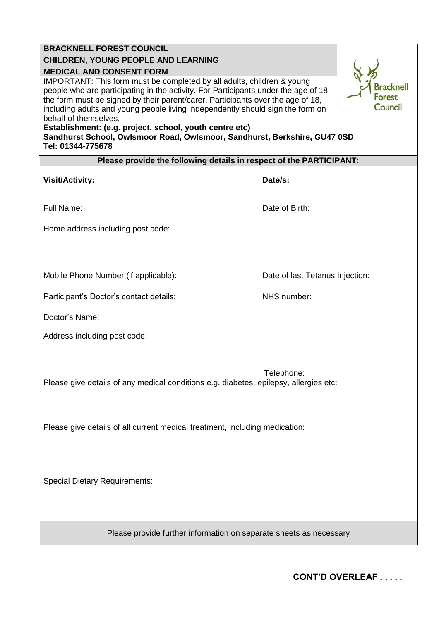## **BRACKNELL FOREST COUNCIL**

## **CHILDREN, YOUNG PEOPLE AND LEARNING**

## **MEDICAL AND CONSENT FORM**

IMPORTANT: This form must be completed by all adults, children & young people who are participating in the activity. For Participants under the age of 18 the form must be signed by their parent/carer. Participants over the age of 18, including adults and young people living independently should sign the form on behalf of themselves.

## **Establishment: (e.g. project, school, youth centre etc)**

**Sandhurst School, Owlsmoor Road, Owlsmoor, Sandhurst, Berkshire, GU47 0SD Tel: 01344-775678**

| Please provide the following details in respect of the PARTICIPANT: |  |
|---------------------------------------------------------------------|--|
|                                                                     |  |

| <b>Visit/Activity:</b>                                                                              | Date/s:                         |  |
|-----------------------------------------------------------------------------------------------------|---------------------------------|--|
| Full Name:                                                                                          | Date of Birth:                  |  |
| Home address including post code:                                                                   |                                 |  |
|                                                                                                     |                                 |  |
| Mobile Phone Number (if applicable):                                                                | Date of last Tetanus Injection: |  |
| Participant's Doctor's contact details:                                                             | NHS number:                     |  |
| Doctor's Name:                                                                                      |                                 |  |
| Address including post code:                                                                        |                                 |  |
|                                                                                                     |                                 |  |
| Telephone:<br>Please give details of any medical conditions e.g. diabetes, epilepsy, allergies etc: |                                 |  |
|                                                                                                     |                                 |  |
| Please give details of all current medical treatment, including medication:                         |                                 |  |
|                                                                                                     |                                 |  |
|                                                                                                     |                                 |  |
| <b>Special Dietary Requirements:</b>                                                                |                                 |  |
|                                                                                                     |                                 |  |

Please provide further information on separate sheets as necessary

**Bracknell Forest Council** 

**CONT'D OVERLEAF . . . . .**